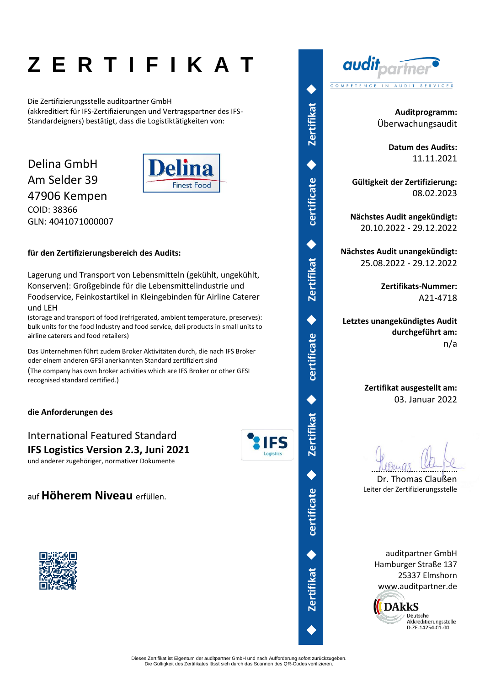# **Z E R T I F I K A T**

Die Zertifizierungsstelle auditpartner GmbH (akkreditiert für IFS-Zertifizierungen und Vertragspartner des IFS-Standardeigners) bestätigt, dass die Logistiktätigkeiten von:

### Delina GmbH Am Selder 39 47906 Kempen COID: 38366 GLN: 4041071000007



#### **für den Zertifizierungsbereich des Audits:**

Lagerung und Transport von Lebensmitteln (gekühlt, ungekühlt, Konserven): Großgebinde für die Lebensmittelindustrie und Foodservice, Feinkostartikel in Kleingebinden für Airline Caterer und LEH

(storage and transport of food (refrigerated, ambient temperature, preserves): bulk units for the food Industry and food service, deli products in small units to airline caterers and food retailers)

Das Unternehmen führt zudem Broker Aktivitäten durch, die nach IFS Broker oder einem anderen GFSI anerkannten Standard zertifiziert sind (The company has own broker activities which are IFS Broker or other GFSI recognised standard certified.)

#### **die Anforderungen des**

International Featured Standard **IFS Logistics Version 2.3, Juni 2021** und anderer zugehöriger, normativer Dokumente



auf **Höherem Niveau** erfüllen.





**Auditprogramm:** Überwachungsaudit

> **Datum des Audits:** 11.11.2021

**Gültigkeit der Zertifizierung:** 08.02.2023

**Nächstes Audit angekündigt:** 20.10.2022 - 29.12.2022

**Nächstes Audit unangekündigt:** 25.08.2022 - 29.12.2022

> **Zertifikats-Nummer:** A21-4718

**Letztes unangekündigtes Audit durchgeführt am:** n/a

> **Zertifikat ausgestellt am:** 03. Januar 2022

Dr. Thomas Claußen Leiter der Zertifizierungsstelle

auditpartner GmbH Hamburger Straße 137 25337 Elmshorn www.auditpartner.de



◆

**Zertifikat** 

◆

◆

**certificate** 

◆

**Zertifikat** 

◆

**certificate** 

◆

**Zertifikat** 

◆

**certificate** 

◆

**Zertifikat** 

◆